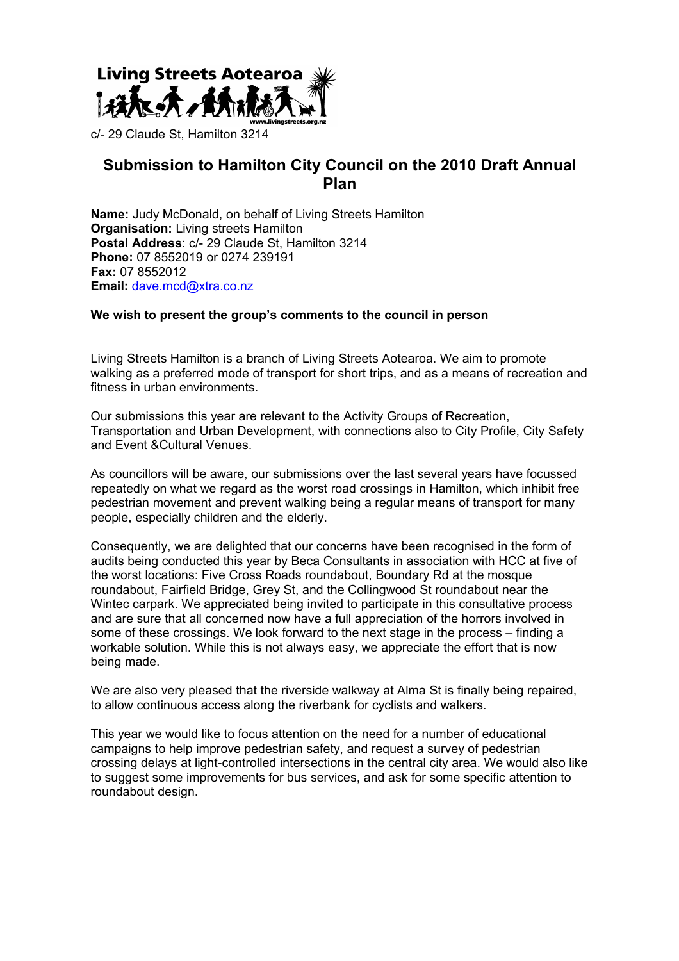

# **Submission to Hamilton City Council on the 2010 Draft Annual Plan**

**Name:** Judy McDonald, on behalf of Living Streets Hamilton **Organisation:** Living streets Hamilton **Postal Address**: c/- 29 Claude St, Hamilton 3214 **Phone:** 07 8552019 or 0274 239191 **Fax:** 07 8552012 **Email:** [dave.mcd@xtra.co.nz](mailto:dave.mcd@xtra.co.nz)

#### **We wish to present the group's comments to the council in person**

Living Streets Hamilton is a branch of Living Streets Aotearoa. We aim to promote walking as a preferred mode of transport for short trips, and as a means of recreation and fitness in urban environments.

Our submissions this year are relevant to the Activity Groups of Recreation, Transportation and Urban Development, with connections also to City Profile, City Safety and Event &Cultural Venues.

As councillors will be aware, our submissions over the last several years have focussed repeatedly on what we regard as the worst road crossings in Hamilton, which inhibit free pedestrian movement and prevent walking being a regular means of transport for many people, especially children and the elderly.

Consequently, we are delighted that our concerns have been recognised in the form of audits being conducted this year by Beca Consultants in association with HCC at five of the worst locations: Five Cross Roads roundabout, Boundary Rd at the mosque roundabout, Fairfield Bridge, Grey St, and the Collingwood St roundabout near the Wintec carpark. We appreciated being invited to participate in this consultative process and are sure that all concerned now have a full appreciation of the horrors involved in some of these crossings. We look forward to the next stage in the process – finding a workable solution. While this is not always easy, we appreciate the effort that is now being made.

We are also very pleased that the riverside walkway at Alma St is finally being repaired, to allow continuous access along the riverbank for cyclists and walkers.

This year we would like to focus attention on the need for a number of educational campaigns to help improve pedestrian safety, and request a survey of pedestrian crossing delays at light-controlled intersections in the central city area. We would also like to suggest some improvements for bus services, and ask for some specific attention to roundabout design.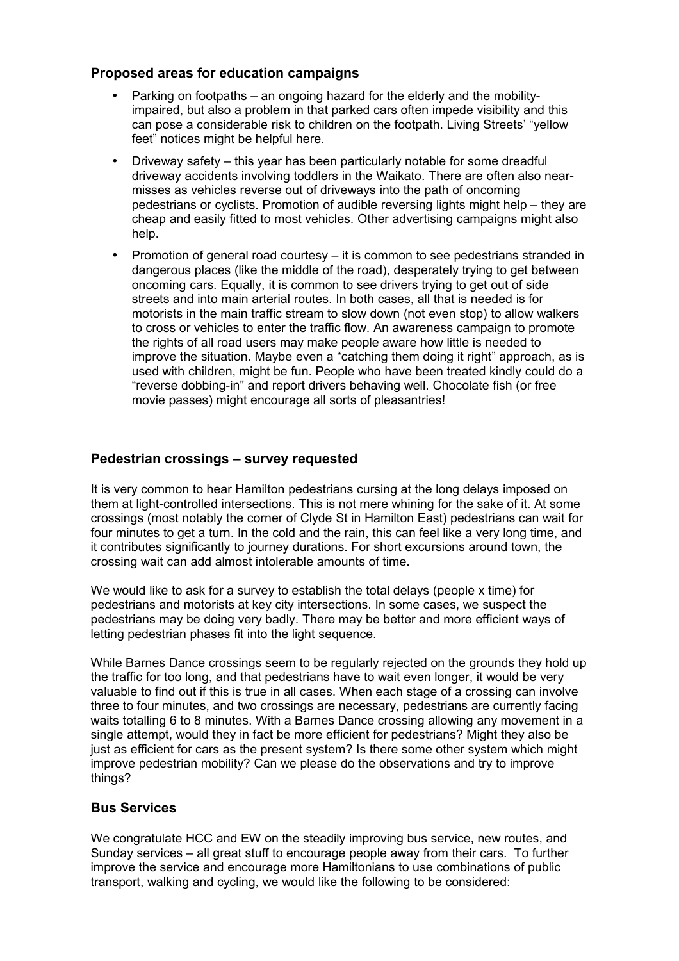## **Proposed areas for education campaigns**

- Parking on footpaths an ongoing hazard for the elderly and the mobilityimpaired, but also a problem in that parked cars often impede visibility and this can pose a considerable risk to children on the footpath. Living Streets' "yellow feet" notices might be helpful here.
- Driveway safety this year has been particularly notable for some dreadful driveway accidents involving toddlers in the Waikato. There are often also nearmisses as vehicles reverse out of driveways into the path of oncoming pedestrians or cyclists. Promotion of audible reversing lights might help – they are cheap and easily fitted to most vehicles. Other advertising campaigns might also help.
- Promotion of general road courtesy it is common to see pedestrians stranded in dangerous places (like the middle of the road), desperately trying to get between oncoming cars. Equally, it is common to see drivers trying to get out of side streets and into main arterial routes. In both cases, all that is needed is for motorists in the main traffic stream to slow down (not even stop) to allow walkers to cross or vehicles to enter the traffic flow. An awareness campaign to promote the rights of all road users may make people aware how little is needed to improve the situation. Maybe even a "catching them doing it right" approach, as is used with children, might be fun. People who have been treated kindly could do a "reverse dobbing-in" and report drivers behaving well. Chocolate fish (or free movie passes) might encourage all sorts of pleasantries!

## **Pedestrian crossings – survey requested**

It is very common to hear Hamilton pedestrians cursing at the long delays imposed on them at light-controlled intersections. This is not mere whining for the sake of it. At some crossings (most notably the corner of Clyde St in Hamilton East) pedestrians can wait for four minutes to get a turn. In the cold and the rain, this can feel like a very long time, and it contributes significantly to journey durations. For short excursions around town, the crossing wait can add almost intolerable amounts of time.

We would like to ask for a survey to establish the total delays (people x time) for pedestrians and motorists at key city intersections. In some cases, we suspect the pedestrians may be doing very badly. There may be better and more efficient ways of letting pedestrian phases fit into the light sequence.

While Barnes Dance crossings seem to be regularly rejected on the grounds they hold up the traffic for too long, and that pedestrians have to wait even longer, it would be very valuable to find out if this is true in all cases. When each stage of a crossing can involve three to four minutes, and two crossings are necessary, pedestrians are currently facing waits totalling 6 to 8 minutes. With a Barnes Dance crossing allowing any movement in a single attempt, would they in fact be more efficient for pedestrians? Might they also be just as efficient for cars as the present system? Is there some other system which might improve pedestrian mobility? Can we please do the observations and try to improve things?

## **Bus Services**

We congratulate HCC and EW on the steadily improving bus service, new routes, and Sunday services – all great stuff to encourage people away from their cars. To further improve the service and encourage more Hamiltonians to use combinations of public transport, walking and cycling, we would like the following to be considered: